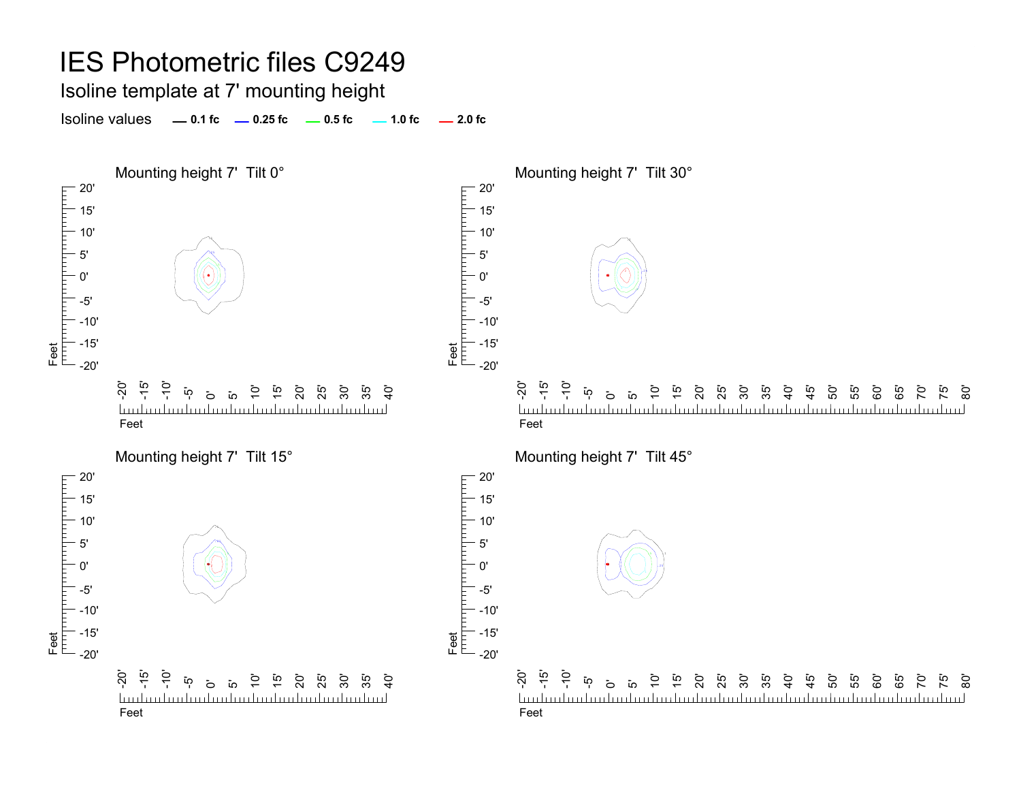Isoline template at 7' mounting height

**0.1 fc 0.25 fc 0.5 fc 2.0 fc**Isoline values $-1.0$  fc  $-2.0$  fc

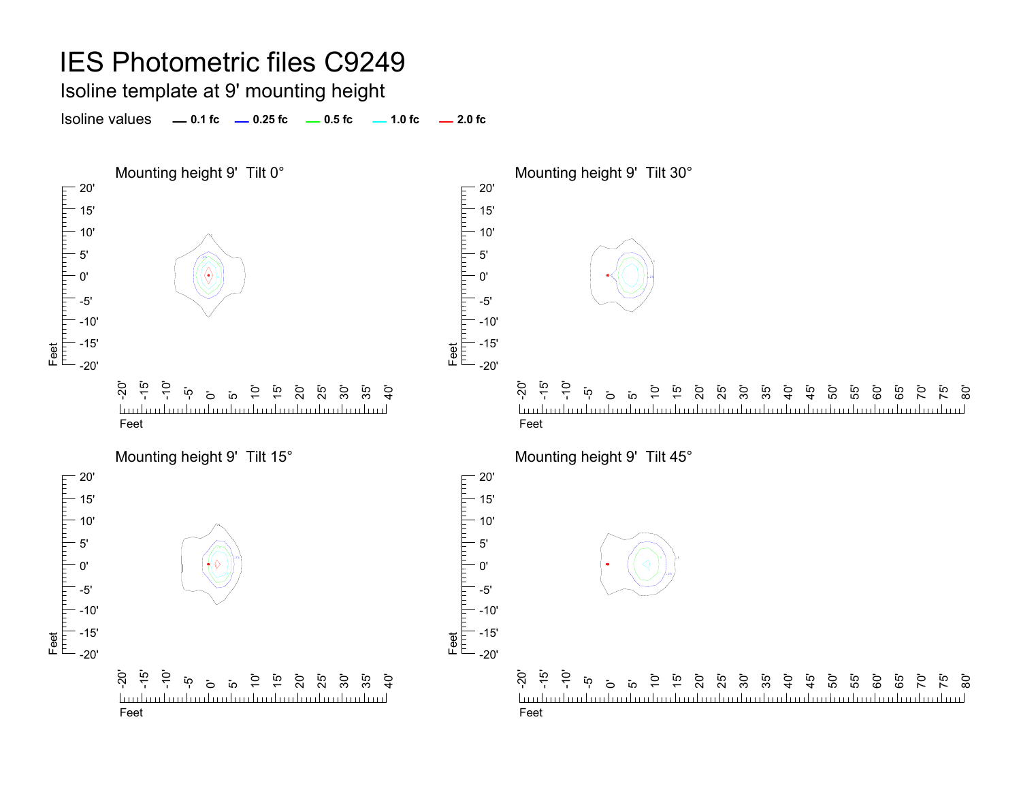### Isoline template at 9' mounting height

Isoline values **0.1 fc 0.25 fc 0.5 fc 2.0 fc 1.0 fc**

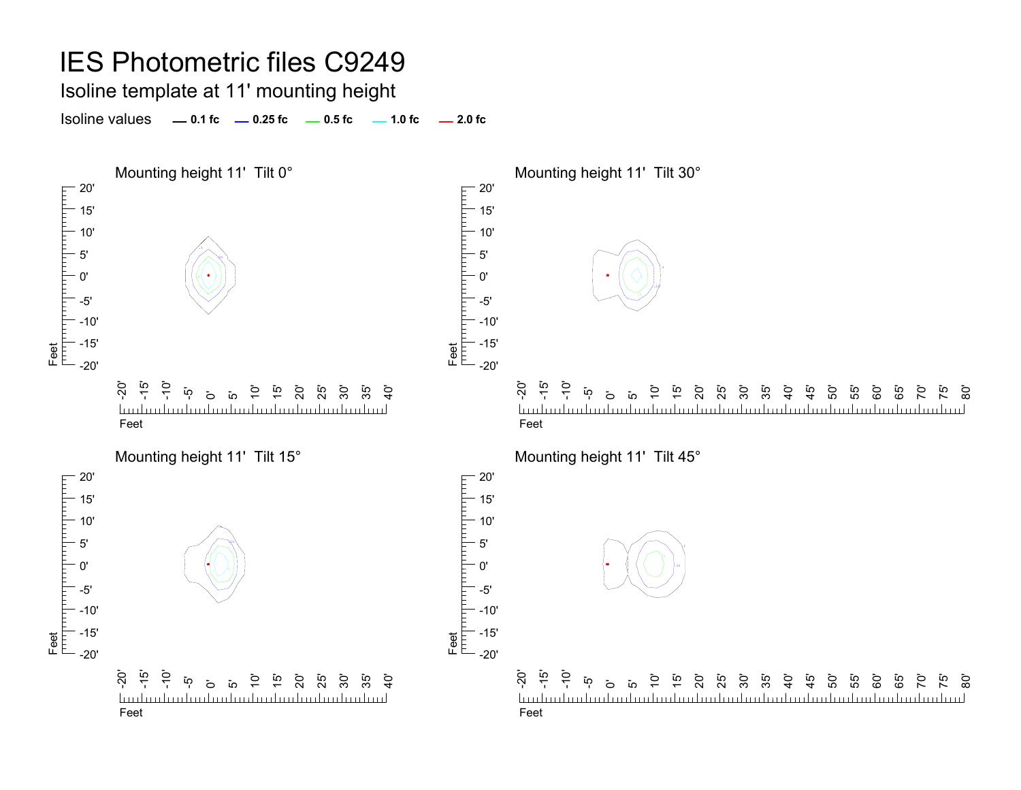#### IES Photometric files C9249 Isoline template at 11' mounting height Isoline values **0.1 fc 0.25 fc 0.5 fc 2.0 fc 1.0 fc** Mounting height 11' Tilt 0° Mounting height 11' Tilt 30° 20' 20' Feet<br>[<sup>Ther</sup>][Therefore][Therefore][Therefore]<br>[ 15' 15' 10' 10' 5' 5' .250'0' .551 P A .25-5'-5' -10'-10' -15' -15' Feet -20' -20'  $\overline{S}$ -15'  $\frac{1}{2}$ -20' -15'  $\frac{1}{2}$ 10' 15' 20' ັດ<br>25 30' 35'  $\overline{6}$ 15'  $\mathbf{\ddot{o}}$  $\overline{a}$  $\mathcal{G}$  $\mathbf{\ddot{o}}$  $\overline{a}$ มี 8 นี้ 5<br>25 นี้ 25  $\ddot{a}$ ្នុ<br>+ 50' 55' 60'  $\overline{a}$  $\overline{1}$ 65<br>'6 70' mahaalaa kaalaa haalaa kaalaa kaalaa kaalaa kaalaa. <u>Indiadordination builded in la aborto dan l</u> <u>landan barbarbar</u> FeetFeetMounting height 11' Tilt 15° Mounting height 11' Tilt 45°  $-20$ 20' 15' 15' 10' 10' .15' .255' .50'

Feet

-5' -10' -15'

0' -5' -10' -15' -20' -20' -15' -10' 15' 20' ີ 25 30' ້ທຸ 10' 35'  $\dot{9}$ ة ق hudmitindradinihadmitindradinihadm Feet

Feet



75' <u>ක</u>

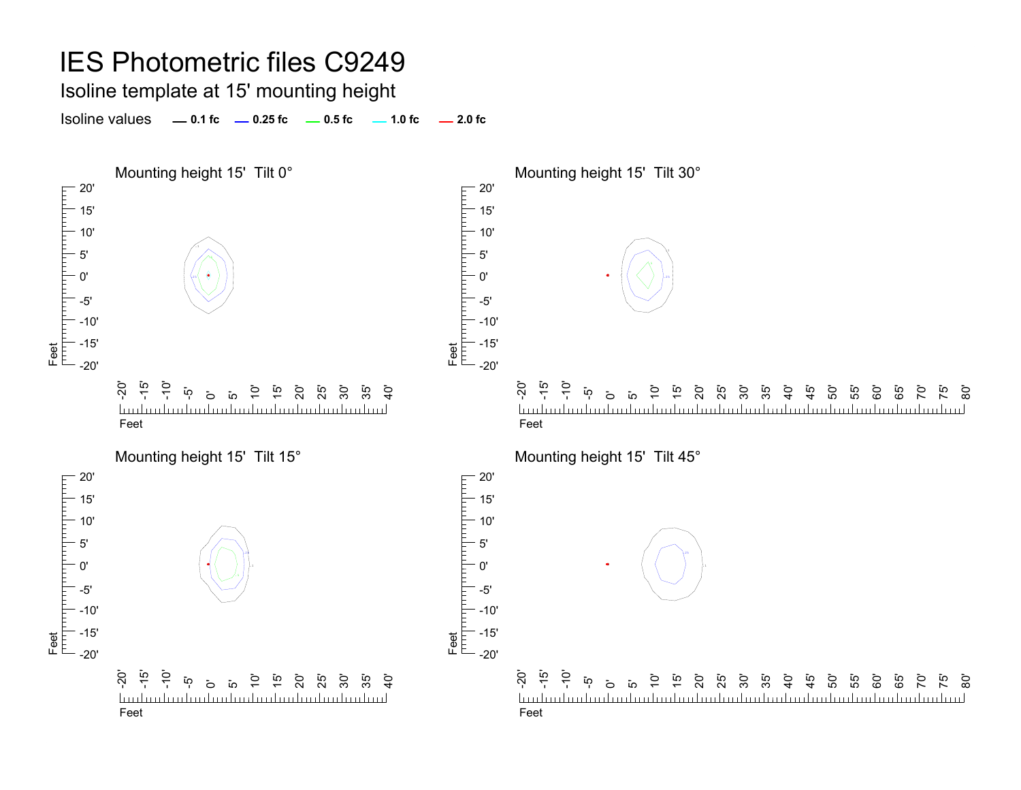Isoline template at 15' mounting height

Isoline values **0.1 fc 0.25 fc 0.5 fc 2.0 fc 1.0 fc**

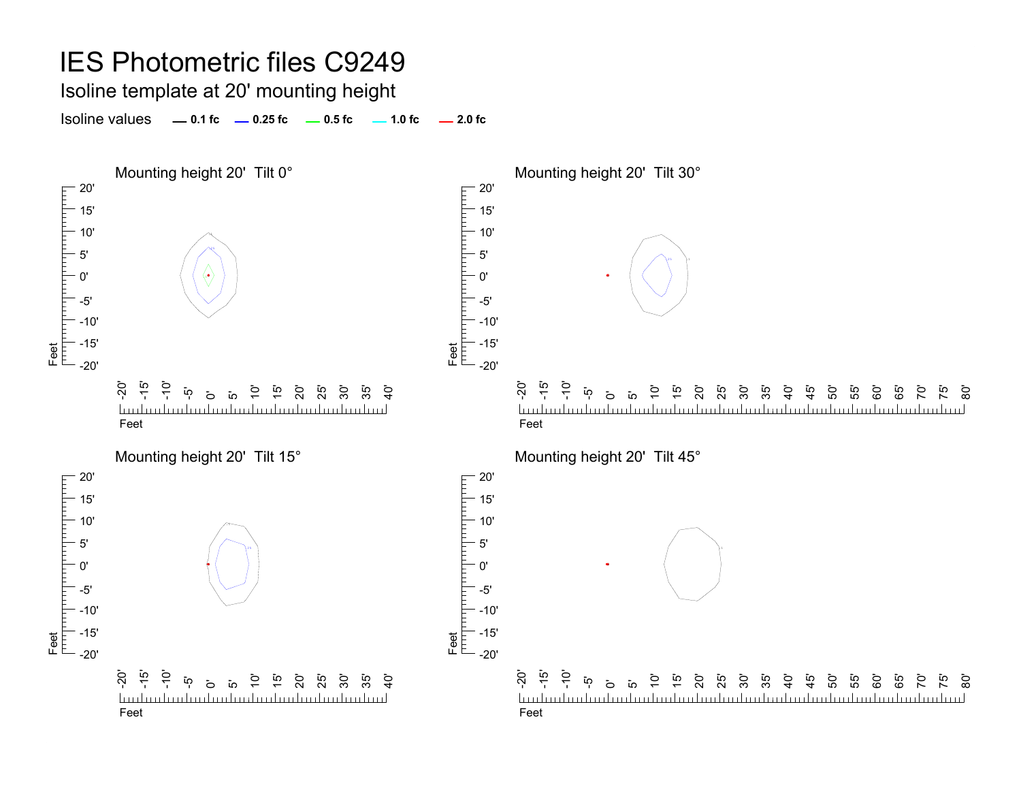Isoline template at 20' mounting height

Isoline values **0.1 fc 0.25 fc 0.5 fc 2.0 fc 1.0 fc**